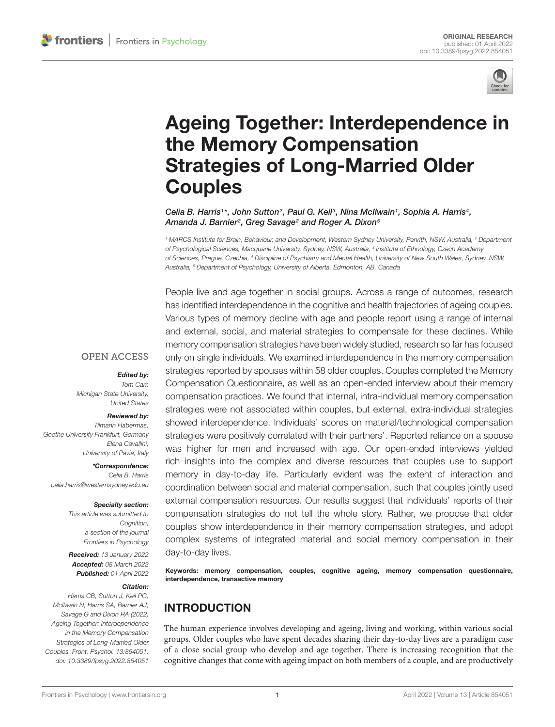

# [Ageing Together: Interdependence in](https://www.frontiersin.org/articles/10.3389/fpsyg.2022.854051/full) the Memory Compensation Strategies of Long-Married Older **Couples**

Celia B. Harris<sup>1\*</sup>, John Sutton<sup>2</sup>, Paul G. Keil<sup>3</sup>, Nina McIlwain<sup>1</sup>, Sophia A. Harris<sup>4</sup>, Amanda J. Barnier<sup>2</sup>, Greg Savage<sup>2</sup> and Roger A. Dixon<sup>5</sup>

<sup>1</sup> MARCS Institute for Brain, Behaviour, and Development, Western Sydney University, Penrith, NSW, Australia, <sup>2</sup> Department of Psychological Sciences, Macquarie University, Sydney, NSW, Australia, <sup>3</sup> Institute of Ethnology, Czech Academy of Sciences, Prague, Czechia, <sup>4</sup> Discipline of Psychiatry and Mental Health, University of New South Wales, Sydney, NSW, Australia, <sup>5</sup> Department of Psychology, University of Alberta, Edmonton, AB, Canada

People live and age together in social groups. Across a range of outcomes, research has identified interdependence in the cognitive and health trajectories of ageing couples. Various types of memory decline with age and people report using a range of internal and external, social, and material strategies to compensate for these declines. While memory compensation strategies have been widely studied, research so far has focused only on single individuals. We examined interdependence in the memory compensation strategies reported by spouses within 58 older couples. Couples completed the Memory Compensation Questionnaire, as well as an open-ended interview about their memory compensation practices. We found that internal, intra-individual memory compensation strategies were not associated within couples, but external, extra-individual strategies showed interdependence. Individuals' scores on material/technological compensation strategies were positively correlated with their partners'. Reported reliance on a spouse was higher for men and increased with age. Our open-ended interviews yielded rich insights into the complex and diverse resources that couples use to support memory in day-to-day life. Particularly evident was the extent of interaction and coordination between social and material compensation, such that couples jointly used external compensation resources. Our results suggest that individuals' reports of their compensation strategies do not tell the whole story. Rather, we propose that older couples show interdependence in their memory compensation strategies, and adopt complex systems of integrated material and social memory compensation in their day-to-day lives.

Keywords: memory compensation, couples, cognitive ageing, memory compensation questionnaire, interdependence, transactive memory

# INTRODUCTION

The human experience involves developing and ageing, living and working, within various social groups. Older couples who have spent decades sharing their day-to-day lives are a paradigm case of a close social group who develop and age together. There is increasing recognition that the cognitive changes that come with ageing impact on both members of a couple, and are productively

#### **OPEN ACCESS**

#### Edited by:

Tom Carr, Michigan State University, United States

#### Reviewed by:

Tilmann Habermas, Goethe University Frankfurt, Germany Elena Cavallini, University of Pavia, Italy

\*Correspondence: Celia B. Harris [celia.harris@westernsydney.edu.au](mailto:celia.harris@westernsydney.edu.au)

#### Specialty section:

This article was submitted to Cognition, a section of the journal Frontiers in Psychology

Received: 13 January 2022 Accepted: 08 March 2022 Published: 01 April 2022

### Citation:

Harris CB, Sutton J, Keil PG, McIlwain N, Harris SA, Barnier AJ, Savage G and Dixon RA (2022) Ageing Together: Interdependence in the Memory Compensation Strategies of Long-Married Older Couples. Front. Psychol. 13:854051. doi: [10.3389/fpsyg.2022.854051](https://doi.org/10.3389/fpsyg.2022.854051)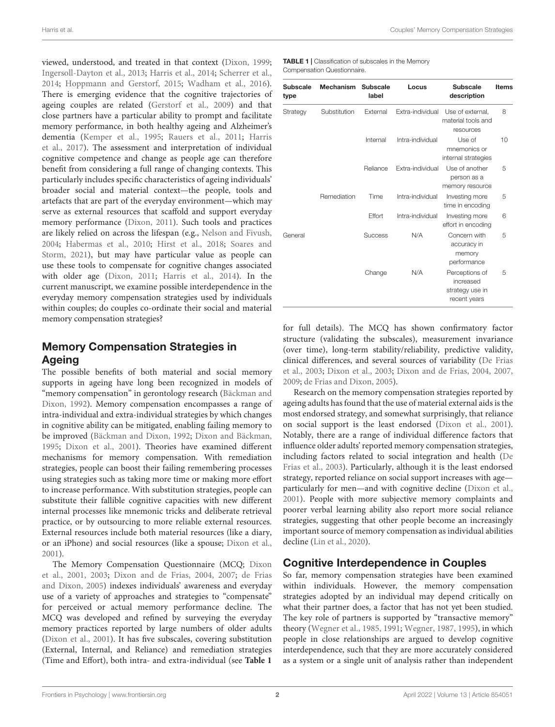Harris et al. Couples' Memory Compensation Strategies

viewed, understood, and treated in that context [\(Dixon,](#page-10-0) [1999;](#page-10-0) [Ingersoll-Dayton et al.,](#page-10-1) [2013;](#page-10-1) [Harris et al.,](#page-10-2) [2014;](#page-10-2) [Scherrer et al.,](#page-10-3) [2014;](#page-10-3) [Hoppmann and Gerstorf,](#page-10-4) [2015;](#page-10-4) [Wadham et al.,](#page-10-5) [2016\)](#page-10-5). There is emerging evidence that the cognitive trajectories of ageing couples are related [\(Gerstorf et al.,](#page-10-6) [2009\)](#page-10-6) and that close partners have a particular ability to prompt and facilitate memory performance, in both healthy ageing and Alzheimer's dementia [\(Kemper et al.,](#page-10-7) [1995;](#page-10-7) [Rauers et al.,](#page-10-8) [2011;](#page-10-8) [Harris](#page-10-9) [et al.,](#page-10-9) [2017\)](#page-10-9). The assessment and interpretation of individual cognitive competence and change as people age can therefore benefit from considering a full range of changing contexts. This particularly includes specific characteristics of ageing individuals' broader social and material context—the people, tools and artefacts that are part of the everyday environment—which may serve as external resources that scaffold and support everyday memory performance [\(Dixon,](#page-10-10) [2011\)](#page-10-10). Such tools and practices are likely relied on across the lifespan (e.g., [Nelson and Fivush,](#page-10-11) [2004;](#page-10-11) [Habermas et al.,](#page-10-12) [2010;](#page-10-12) [Hirst et al.,](#page-10-13) [2018;](#page-10-13) [Soares and](#page-10-14) [Storm,](#page-10-14) [2021\)](#page-10-14), but may have particular value as people can use these tools to compensate for cognitive changes associated with older age [\(Dixon,](#page-10-10) [2011;](#page-10-10) [Harris et al.,](#page-10-2) [2014\)](#page-10-2). In the current manuscript, we examine possible interdependence in the everyday memory compensation strategies used by individuals within couples; do couples co-ordinate their social and material memory compensation strategies?

# Memory Compensation Strategies in Ageing

The possible benefits of both material and social memory supports in ageing have long been recognized in models of "memory compensation" in gerontology research [\(Bäckman and](#page-9-0) [Dixon,](#page-9-0) [1992\)](#page-9-0). Memory compensation encompasses a range of intra-individual and extra-individual strategies by which changes in cognitive ability can be mitigated, enabling failing memory to be improved [\(Bäckman and Dixon,](#page-9-0) [1992;](#page-9-0) [Dixon and Bäckman,](#page-10-15) [1995;](#page-10-15) [Dixon et al.,](#page-10-16) [2001\)](#page-10-16). Theories have examined different mechanisms for memory compensation. With remediation strategies, people can boost their failing remembering processes using strategies such as taking more time or making more effort to increase performance. With substitution strategies, people can substitute their fallible cognitive capacities with new different internal processes like mnemonic tricks and deliberate retrieval practice, or by outsourcing to more reliable external resources. External resources include both material resources (like a diary, or an iPhone) and social resources (like a spouse; [Dixon et al.,](#page-10-16) [2001\)](#page-10-16).

The Memory Compensation Questionnaire (MCQ; [Dixon](#page-10-16) [et al.,](#page-10-16) [2001,](#page-10-16) [2003;](#page-10-17) [Dixon and de Frias,](#page-10-18) [2004,](#page-10-18) [2007;](#page-10-19) [de Frias](#page-9-1) [and Dixon,](#page-9-1) [2005\)](#page-9-1) indexes individuals' awareness and everyday use of a variety of approaches and strategies to "compensate" for perceived or actual memory performance decline. The MCQ was developed and refined by surveying the everyday memory practices reported by large numbers of older adults [\(Dixon et al.,](#page-10-16) [2001\)](#page-10-16). It has five subscales, covering substitution (External, Internal, and Reliance) and remediation strategies (Time and Effort), both intra- and extra-individual (see **[Table 1](#page-1-0)**

<span id="page-1-0"></span>TABLE 1 | Classification of subscales in the Memory Compensation Questionnaire.

| <b>Subscale</b><br>type | Mechanism    | <b>Subscale</b><br>label | Locus            | <b>Subscale</b><br>description                                 | <b>Items</b> |
|-------------------------|--------------|--------------------------|------------------|----------------------------------------------------------------|--------------|
| Strategy                | Substitution | External                 | Extra-individual | Use of external.<br>material tools and<br>resources            | 8            |
|                         |              | Internal                 | Intra-individual | Use of<br>mnemonics or<br>internal strategies                  | 10           |
|                         |              | Reliance                 | Extra-individual | Use of another<br>person as a<br>memory resource               | 5            |
|                         | Remediation  | Time                     | Intra-individual | Investing more<br>time in encoding                             | 5            |
|                         |              | Effort                   | Intra-individual | Investing more<br>effort in encoding                           | 6            |
| General                 |              | <b>Success</b>           | N/A              | Concern with<br>accuracy in<br>memory<br>performance           | 5            |
|                         |              | Change                   | N/A              | Perceptions of<br>increased<br>strategy use in<br>recent years | 5            |

for full details). The MCQ has shown confirmatory factor structure (validating the subscales), measurement invariance (over time), long-term stability/reliability, predictive validity, clinical differences, and several sources of variability [\(De Frias](#page-9-2) [et al.,](#page-9-2) [2003;](#page-9-2) [Dixon et al.,](#page-10-17) [2003;](#page-10-17) [Dixon and de Frias,](#page-10-18) [2004,](#page-10-18) [2007,](#page-10-19) [2009;](#page-10-20) [de Frias and Dixon,](#page-9-1) [2005\)](#page-9-1).

Research on the memory compensation strategies reported by ageing adults has found that the use of material external aids is the most endorsed strategy, and somewhat surprisingly, that reliance on social support is the least endorsed [\(Dixon et al.,](#page-10-16) [2001\)](#page-10-16). Notably, there are a range of individual difference factors that influence older adults' reported memory compensation strategies, including factors related to social integration and health [\(De](#page-9-2) [Frias et al.,](#page-9-2) [2003\)](#page-9-2). Particularly, although it is the least endorsed strategy, reported reliance on social support increases with age particularly for men—and with cognitive decline [\(Dixon et al.,](#page-10-16) [2001\)](#page-10-16). People with more subjective memory complaints and poorer verbal learning ability also report more social reliance strategies, suggesting that other people become an increasingly important source of memory compensation as individual abilities decline [\(Lin et al.,](#page-10-21) [2020\)](#page-10-21).

# Cognitive Interdependence in Couples

So far, memory compensation strategies have been examined within individuals. However, the memory compensation strategies adopted by an individual may depend critically on what their partner does, a factor that has not yet been studied. The key role of partners is supported by "transactive memory" theory [\(Wegner et al.,](#page-11-0) [1985,](#page-11-0) [1991;](#page-11-1) [Wegner,](#page-10-22) [1987,](#page-10-22) [1995\)](#page-11-2), in which people in close relationships are argued to develop cognitive interdependence, such that they are more accurately considered as a system or a single unit of analysis rather than independent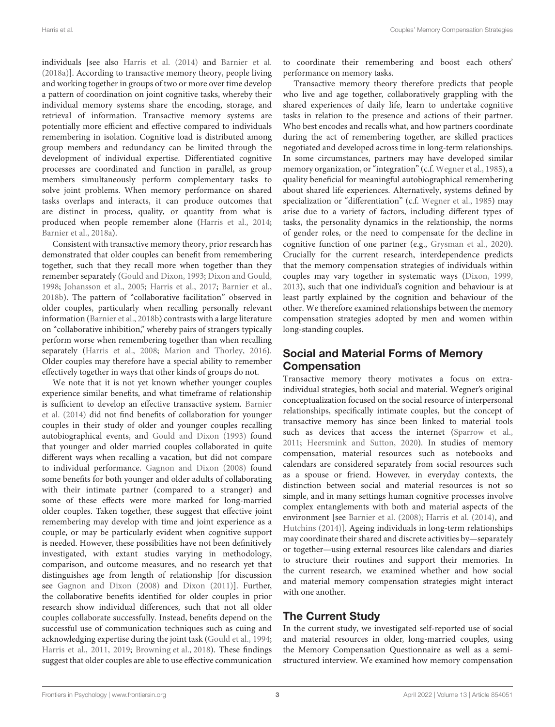individuals [see also [Harris et al.](#page-10-2) [\(2014\)](#page-10-2) and [Barnier et al.](#page-9-3) [\(2018a\)](#page-9-3)]. According to transactive memory theory, people living and working together in groups of two or more over time develop a pattern of coordination on joint cognitive tasks, whereby their individual memory systems share the encoding, storage, and retrieval of information. Transactive memory systems are potentially more efficient and effective compared to individuals remembering in isolation. Cognitive load is distributed among group members and redundancy can be limited through the development of individual expertise. Differentiated cognitive processes are coordinated and function in parallel, as group members simultaneously perform complementary tasks to solve joint problems. When memory performance on shared tasks overlaps and interacts, it can produce outcomes that are distinct in process, quality, or quantity from what is produced when people remember alone [\(Harris et al.,](#page-10-2) [2014;](#page-10-2) [Barnier et al.,](#page-9-3) [2018a\)](#page-9-3).

Consistent with transactive memory theory, prior research has demonstrated that older couples can benefit from remembering together, such that they recall more when together than they remember separately [\(Gould and Dixon,](#page-10-23) [1993;](#page-10-23) [Dixon and Gould,](#page-10-24) [1998;](#page-10-24) [Johansson et al.,](#page-10-25) [2005;](#page-10-25) [Harris et al.,](#page-10-9) [2017;](#page-10-9) [Barnier et al.,](#page-9-4) [2018b\)](#page-9-4). The pattern of "collaborative facilitation" observed in older couples, particularly when recalling personally relevant information [\(Barnier et al.,](#page-9-4) [2018b\)](#page-9-4) contrasts with a large literature on "collaborative inhibition," whereby pairs of strangers typically perform worse when remembering together than when recalling separately [\(Harris et al.,](#page-10-26) [2008;](#page-10-26) [Marion and Thorley,](#page-10-27) [2016\)](#page-10-27). Older couples may therefore have a special ability to remember effectively together in ways that other kinds of groups do not.

We note that it is not yet known whether younger couples experience similar benefits, and what timeframe of relationship is sufficient to develop an effective transactive system. [Barnier](#page-9-5) [et al.](#page-9-5) [\(2014\)](#page-9-5) did not find benefits of collaboration for younger couples in their study of older and younger couples recalling autobiographical events, and [Gould and Dixon](#page-10-23) [\(1993\)](#page-10-23) found that younger and older married couples collaborated in quite different ways when recalling a vacation, but did not compare to individual performance. [Gagnon and Dixon](#page-10-28) [\(2008\)](#page-10-28) found some benefits for both younger and older adults of collaborating with their intimate partner (compared to a stranger) and some of these effects were more marked for long-married older couples. Taken together, these suggest that effective joint remembering may develop with time and joint experience as a couple, or may be particularly evident when cognitive support is needed. However, these possibilities have not been definitively investigated, with extant studies varying in methodology, comparison, and outcome measures, and no research yet that distinguishes age from length of relationship [for discussion see [Gagnon and Dixon](#page-10-28) [\(2008\)](#page-10-28) and [Dixon](#page-10-10) [\(2011\)](#page-10-10)]. Further, the collaborative benefits identified for older couples in prior research show individual differences, such that not all older couples collaborate successfully. Instead, benefits depend on the successful use of communication techniques such as cuing and acknowledging expertise during the joint task [\(Gould et al.,](#page-10-29) [1994;](#page-10-29) [Harris et al.,](#page-10-30) [2011,](#page-10-30) [2019;](#page-10-31) [Browning et al.,](#page-9-6) [2018\)](#page-9-6). These findings suggest that older couples are able to use effective communication to coordinate their remembering and boost each others' performance on memory tasks.

Transactive memory theory therefore predicts that people who live and age together, collaboratively grappling with the shared experiences of daily life, learn to undertake cognitive tasks in relation to the presence and actions of their partner. Who best encodes and recalls what, and how partners coordinate during the act of remembering together, are skilled practices negotiated and developed across time in long-term relationships. In some circumstances, partners may have developed similar memory organization, or "integration" (c.f. [Wegner et al.,](#page-11-0) [1985\)](#page-11-0), a quality beneficial for meaningful autobiographical remembering about shared life experiences. Alternatively, systems defined by specialization or "differentiation" (c.f. [Wegner et al.,](#page-11-0) [1985\)](#page-11-0) may arise due to a variety of factors, including different types of tasks, the personality dynamics in the relationship, the norms of gender roles, or the need to compensate for the decline in cognitive function of one partner (e.g., [Grysman et al.,](#page-10-32) [2020\)](#page-10-32). Crucially for the current research, interdependence predicts that the memory compensation strategies of individuals within couples may vary together in systematic ways [\(Dixon,](#page-10-0) [1999,](#page-10-0) [2013\)](#page-10-33), such that one individual's cognition and behaviour is at least partly explained by the cognition and behaviour of the other. We therefore examined relationships between the memory compensation strategies adopted by men and women within long-standing couples.

# Social and Material Forms of Memory Compensation

Transactive memory theory motivates a focus on extraindividual strategies, both social and material. Wegner's original conceptualization focused on the social resource of interpersonal relationships, specifically intimate couples, but the concept of transactive memory has since been linked to material tools such as devices that access the internet [\(Sparrow et al.,](#page-10-34) [2011;](#page-10-34) [Heersmink and Sutton,](#page-10-35) [2020\)](#page-10-35). In studies of memory compensation, material resources such as notebooks and calendars are considered separately from social resources such as a spouse or friend. However, in everyday contexts, the distinction between social and material resources is not so simple, and in many settings human cognitive processes involve complex entanglements with both and material aspects of the environment [see [Barnier et al.](#page-9-7) [\(2008\)](#page-9-7); [Harris et al.](#page-10-2) [\(2014\)](#page-10-2), and [Hutchins](#page-10-36) [\(2014\)](#page-10-36)]. Ageing individuals in long-term relationships may coordinate their shared and discrete activities by—separately or together—using external resources like calendars and diaries to structure their routines and support their memories. In the current research, we examined whether and how social and material memory compensation strategies might interact with one another.

# The Current Study

In the current study, we investigated self-reported use of social and material resources in older, long-married couples, using the Memory Compensation Questionnaire as well as a semistructured interview. We examined how memory compensation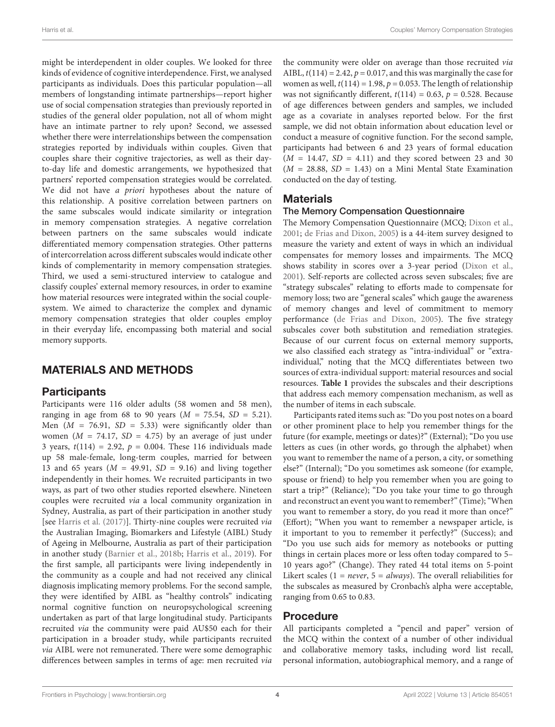might be interdependent in older couples. We looked for three kinds of evidence of cognitive interdependence. First, we analysed participants as individuals. Does this particular population—all members of longstanding intimate partnerships—report higher use of social compensation strategies than previously reported in studies of the general older population, not all of whom might have an intimate partner to rely upon? Second, we assessed whether there were interrelationships between the compensation strategies reported by individuals within couples. Given that couples share their cognitive trajectories, as well as their dayto-day life and domestic arrangements, we hypothesized that partners' reported compensation strategies would be correlated. We did not have a priori hypotheses about the nature of this relationship. A positive correlation between partners on the same subscales would indicate similarity or integration in memory compensation strategies. A negative correlation between partners on the same subscales would indicate differentiated memory compensation strategies. Other patterns of intercorrelation across different subscales would indicate other kinds of complementarity in memory compensation strategies. Third, we used a semi-structured interview to catalogue and classify couples' external memory resources, in order to examine how material resources were integrated within the social couplesystem. We aimed to characterize the complex and dynamic memory compensation strategies that older couples employ in their everyday life, encompassing both material and social memory supports.

# MATERIALS AND METHODS

### **Participants**

Participants were 116 older adults (58 women and 58 men), ranging in age from 68 to 90 years ( $M = 75.54$ ,  $SD = 5.21$ ). Men ( $M = 76.91$ ,  $SD = 5.33$ ) were significantly older than women ( $M = 74.17$ ,  $SD = 4.75$ ) by an average of just under 3 years,  $t(114) = 2.92$ ,  $p = 0.004$ . These 116 individuals made up 58 male-female, long-term couples, married for between 13 and 65 years ( $M = 49.91$ ,  $SD = 9.16$ ) and living together independently in their homes. We recruited participants in two ways, as part of two other studies reported elsewhere. Nineteen couples were recruited via a local community organization in Sydney, Australia, as part of their participation in another study [see [Harris et al.](#page-10-9) [\(2017\)](#page-10-9)]. Thirty-nine couples were recruited via the Australian Imaging, Biomarkers and Lifestyle (AIBL) Study of Ageing in Melbourne, Australia as part of their participation in another study [\(Barnier et al.,](#page-9-4) [2018b;](#page-9-4) [Harris et al.,](#page-10-31) [2019\)](#page-10-31). For the first sample, all participants were living independently in the community as a couple and had not received any clinical diagnosis implicating memory problems. For the second sample, they were identified by AIBL as "healthy controls" indicating normal cognitive function on neuropsychological screening undertaken as part of that large longitudinal study. Participants recruited via the community were paid AU\$50 each for their participation in a broader study, while participants recruited via AIBL were not remunerated. There were some demographic differences between samples in terms of age: men recruited via

the community were older on average than those recruited via AIBL,  $t(114) = 2.42$ ,  $p = 0.017$ , and this was marginally the case for women as well,  $t(114) = 1.98$ ,  $p = 0.053$ . The length of relationship was not significantly different,  $t(114) = 0.63$ ,  $p = 0.528$ . Because of age differences between genders and samples, we included age as a covariate in analyses reported below. For the first sample, we did not obtain information about education level or conduct a measure of cognitive function. For the second sample, participants had between 6 and 23 years of formal education  $(M = 14.47, SD = 4.11)$  and they scored between 23 and 30  $(M = 28.88, SD = 1.43)$  on a Mini Mental State Examination conducted on the day of testing.

### **Materials**

### The Memory Compensation Questionnaire

The Memory Compensation Questionnaire (MCQ; [Dixon et al.,](#page-10-16) [2001;](#page-10-16) [de Frias and Dixon,](#page-9-1) [2005\)](#page-9-1) is a 44-item survey designed to measure the variety and extent of ways in which an individual compensates for memory losses and impairments. The MCQ shows stability in scores over a 3-year period [\(Dixon et al.,](#page-10-16) [2001\)](#page-10-16). Self-reports are collected across seven subscales; five are "strategy subscales" relating to efforts made to compensate for memory loss; two are "general scales" which gauge the awareness of memory changes and level of commitment to memory performance [\(de Frias and Dixon,](#page-9-1) [2005\)](#page-9-1). The five strategy subscales cover both substitution and remediation strategies. Because of our current focus on external memory supports, we also classified each strategy as "intra-individual" or "extraindividual," noting that the MCQ differentiates between two sources of extra-individual support: material resources and social resources. **[Table 1](#page-1-0)** provides the subscales and their descriptions that address each memory compensation mechanism, as well as the number of items in each subscale.

Participants rated items such as: "Do you post notes on a board or other prominent place to help you remember things for the future (for example, meetings or dates)?" (External); "Do you use letters as cues (in other words, go through the alphabet) when you want to remember the name of a person, a city, or something else?" (Internal); "Do you sometimes ask someone (for example, spouse or friend) to help you remember when you are going to start a trip?" (Reliance); "Do you take your time to go through and reconstruct an event you want to remember?" (Time); "When you want to remember a story, do you read it more than once?" (Effort); "When you want to remember a newspaper article, is it important to you to remember it perfectly?" (Success); and "Do you use such aids for memory as notebooks or putting things in certain places more or less often today compared to 5– 10 years ago?" (Change). They rated 44 total items on 5-point Likert scales ( $1 = never$ ,  $5 = always$ ). The overall reliabilities for the subscales as measured by Cronbach's alpha were acceptable, ranging from 0.65 to 0.83.

### Procedure

All participants completed a "pencil and paper" version of the MCQ within the context of a number of other individual and collaborative memory tasks, including word list recall, personal information, autobiographical memory, and a range of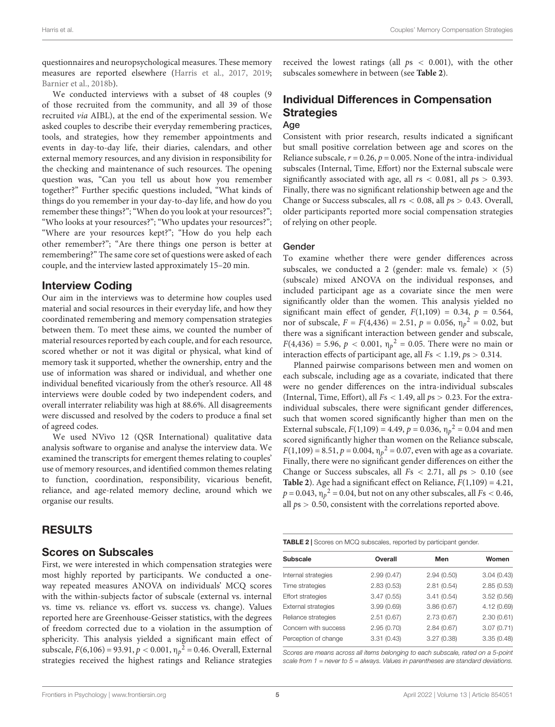questionnaires and neuropsychological measures. These memory measures are reported elsewhere [\(Harris et al.,](#page-10-9) [2017,](#page-10-9) [2019;](#page-10-31) [Barnier et al.,](#page-9-4) [2018b\)](#page-9-4).

We conducted interviews with a subset of 48 couples (9 of those recruited from the community, and all 39 of those recruited via AIBL), at the end of the experimental session. We asked couples to describe their everyday remembering practices, tools, and strategies, how they remember appointments and events in day-to-day life, their diaries, calendars, and other external memory resources, and any division in responsibility for the checking and maintenance of such resources. The opening question was, "Can you tell us about how you remember together?" Further specific questions included, "What kinds of things do you remember in your day-to-day life, and how do you remember these things?"; "When do you look at your resources?"; "Who looks at your resources?"; "Who updates your resources?"; "Where are your resources kept?"; "How do you help each other remember?"; "Are there things one person is better at remembering?" The same core set of questions were asked of each couple, and the interview lasted approximately 15–20 min.

### Interview Coding

Our aim in the interviews was to determine how couples used material and social resources in their everyday life, and how they coordinated remembering and memory compensation strategies between them. To meet these aims, we counted the number of material resources reported by each couple, and for each resource, scored whether or not it was digital or physical, what kind of memory task it supported, whether the ownership, entry and the use of information was shared or individual, and whether one individual benefited vicariously from the other's resource. All 48 interviews were double coded by two independent coders, and overall interrater reliability was high at 88.6%. All disagreements were discussed and resolved by the coders to produce a final set of agreed codes.

We used NVivo 12 (QSR International) qualitative data analysis software to organise and analyse the interview data. We examined the transcripts for emergent themes relating to couples' use of memory resources, and identified common themes relating to function, coordination, responsibility, vicarious benefit, reliance, and age-related memory decline, around which we organise our results.

### RESULTS

### Scores on Subscales

First, we were interested in which compensation strategies were most highly reported by participants. We conducted a oneway repeated measures ANOVA on individuals' MCQ scores with the within-subjects factor of subscale (external vs. internal vs. time vs. reliance vs. effort vs. success vs. change). Values reported here are Greenhouse-Geisser statistics, with the degrees of freedom corrected due to a violation in the assumption of sphericity. This analysis yielded a significant main effect of subscale,  $F(6,106) = 93.91, p < 0.001, \eta_p^2 = 0.46$ . Overall, External strategies received the highest ratings and Reliance strategies received the lowest ratings (all  $ps < 0.001$ ), with the other subscales somewhere in between (see **[Table 2](#page-4-0)**).

### Individual Differences in Compensation **Strategies** Age

Consistent with prior research, results indicated a significant but small positive correlation between age and scores on the Reliance subscale,  $r = 0.26$ ,  $p = 0.005$ . None of the intra-individual subscales (Internal, Time, Effort) nor the External subscale were significantly associated with age, all  $rs < 0.081$ , all  $ps > 0.393$ . Finally, there was no significant relationship between age and the Change or Success subscales, all  $rs < 0.08$ , all  $ps > 0.43$ . Overall, older participants reported more social compensation strategies of relying on other people.

#### Gender

To examine whether there were gender differences across subscales, we conducted a 2 (gender: male vs. female)  $\times$  (5) (subscale) mixed ANOVA on the individual responses, and included participant age as a covariate since the men were significantly older than the women. This analysis yielded no significant main effect of gender,  $F(1,109) = 0.34$ ,  $p = 0.564$ , nor of subscale,  $F = F(4, 436) = 2.51$ ,  $p = 0.056$ ,  $\eta_p^2 = 0.02$ , but there was a significant interaction between gender and subscale,  $F(4,436) = 5.96, p < 0.001, \eta_p^2 = 0.05$ . There were no main or interaction effects of participant age, all  $Fs < 1.19$ ,  $ps > 0.314$ .

Planned pairwise comparisons between men and women on each subscale, including age as a covariate, indicated that there were no gender differences on the intra-individual subscales (Internal, Time, Effort), all  $Fs < 1.49$ , all  $ps > 0.23$ . For the extraindividual subscales, there were significant gender differences, such that women scored significantly higher than men on the External subscale,  $F(1,109) = 4.49$ ,  $p = 0.036$ ,  $\eta_p^2 = 0.04$  and men scored significantly higher than women on the Reliance subscale,  $F(1,109) = 8.51, p = 0.004, \eta_p^2 = 0.07$ , even with age as a covariate. Finally, there were no significant gender differences on either the Change or Success subscales, all  $Fs < 2.71$ , all  $ps > 0.10$  (see **[Table 2](#page-4-0)**). Age had a significant effect on Reliance,  $F(1,109) = 4.21$ ,  $p$  = 0.043,  $\eta_p{}^2$  = 0.04, but not on any other subscales, all  $Fs <$  0.46, all  $ps > 0.50$ , consistent with the correlations reported above.

<span id="page-4-0"></span>

| <b>Subscale</b>          | Overall    | Men        | Women      |
|--------------------------|------------|------------|------------|
| Internal strategies      | 2.99(0.47) | 2.94(0.50) | 3.04(0.43) |
| Time strategies          | 2.83(0.53) | 2.81(0.54) | 2.85(0.53) |
| <b>Effort strategies</b> | 3.47(0.55) | 3.41(0.54) | 3.52(0.56) |
| External strategies      | 3.99(0.69) | 3.86(0.67) | 4.12(0.69) |
| Reliance strategies      | 2.51(0.67) | 2.73(0.67) | 2.30(0.61) |
| Concern with success     | 2.95(0.70) | 2.84(0.67) | 3.07(0.71) |
| Perception of change     | 3.31(0.43) | 3.27(0.38) | 3.35(0.48) |

Scores are means across all items belonging to each subscale, rated on a 5-point scale from  $1 =$  never to  $5 =$  always. Values in parentheses are standard deviations.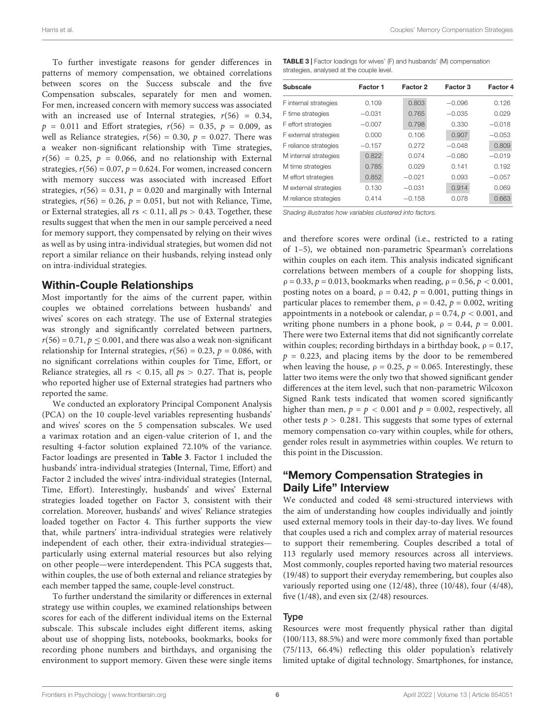Harris et al. Couples' Memory Compensation Strategies

To further investigate reasons for gender differences in patterns of memory compensation, we obtained correlations between scores on the Success subscale and the five Compensation subscales, separately for men and women. For men, increased concern with memory success was associated with an increased use of Internal strategies,  $r(56) = 0.34$ ,  $p = 0.011$  and Effort strategies,  $r(56) = 0.35$ ,  $p = 0.009$ , as well as Reliance strategies,  $r(56) = 0.30$ ,  $p = 0.027$ . There was a weaker non-significant relationship with Time strategies,  $r(56) = 0.25$ ,  $p = 0.066$ , and no relationship with External strategies,  $r(56) = 0.07$ ,  $p = 0.624$ . For women, increased concern with memory success was associated with increased Effort strategies,  $r(56) = 0.31$ ,  $p = 0.020$  and marginally with Internal strategies,  $r(56) = 0.26$ ,  $p = 0.051$ , but not with Reliance, Time, or External strategies, all  $rs < 0.11$ , all  $ps > 0.43$ . Together, these results suggest that when the men in our sample perceived a need for memory support, they compensated by relying on their wives as well as by using intra-individual strategies, but women did not report a similar reliance on their husbands, relying instead only on intra-individual strategies.

### Within-Couple Relationships

Most importantly for the aims of the current paper, within couples we obtained correlations between husbands' and wives' scores on each strategy. The use of External strategies was strongly and significantly correlated between partners,  $r(56) = 0.71$ ,  $p \le 0.001$ , and there was also a weak non-significant relationship for Internal strategies,  $r(56) = 0.23$ ,  $p = 0.086$ , with no significant correlations within couples for Time, Effort, or Reliance strategies, all  $rs < 0.15$ , all  $ps > 0.27$ . That is, people who reported higher use of External strategies had partners who reported the same.

We conducted an exploratory Principal Component Analysis (PCA) on the 10 couple-level variables representing husbands' and wives' scores on the 5 compensation subscales. We used a varimax rotation and an eigen-value criterion of 1, and the resulting 4-factor solution explained 72.10% of the variance. Factor loadings are presented in **[Table 3](#page-5-0)**. Factor 1 included the husbands' intra-individual strategies (Internal, Time, Effort) and Factor 2 included the wives' intra-individual strategies (Internal, Time, Effort). Interestingly, husbands' and wives' External strategies loaded together on Factor 3, consistent with their correlation. Moreover, husbands' and wives' Reliance strategies loaded together on Factor 4. This further supports the view that, while partners' intra-individual strategies were relatively independent of each other, their extra-individual strategies particularly using external material resources but also relying on other people—were interdependent. This PCA suggests that, within couples, the use of both external and reliance strategies by each member tapped the same, couple-level construct.

To further understand the similarity or differences in external strategy use within couples, we examined relationships between scores for each of the different individual items on the External subscale. This subscale includes eight different items, asking about use of shopping lists, notebooks, bookmarks, books for recording phone numbers and birthdays, and organising the environment to support memory. Given these were single items

<span id="page-5-0"></span>

| <b>TABLE 3</b>   Factor loadings for wives' (F) and husbands' (M) compensation |  |
|--------------------------------------------------------------------------------|--|
| strategies, analysed at the couple level.                                      |  |

| Subscale              | Factor 1 | Factor 2 | Factor 3 | Factor 4 |
|-----------------------|----------|----------|----------|----------|
| F internal strategies | 0.109    | 0.803    | $-0.096$ | 0.126    |
| F time strategies     | $-0.031$ | 0.765    | $-0.035$ | 0.029    |
| F effort strategies   | $-0.007$ | 0.798    | 0.330    | $-0.018$ |
| F external strategies | 0.000    | 0.106    | 0.907    | $-0.053$ |
| F reliance strategies | $-0.157$ | 0.272    | $-0.048$ | 0.809    |
| M internal strategies | 0.822    | 0.074    | $-0.080$ | $-0.019$ |
| M time strategies     | 0.785    | 0.029    | 0141     | 0.192    |
| M effort strategies   | 0.852    | $-0.021$ | 0.093    | $-0.057$ |
| M external strategies | 0.130    | $-0.031$ | 0.914    | 0.069    |
| M reliance strategies | 0.414    | $-0.158$ | 0.078    | 0.663    |
|                       |          |          |          |          |

Shading illustrates how variables clustered into factors.

and therefore scores were ordinal (i.e., restricted to a rating of 1–5), we obtained non-parametric Spearman's correlations within couples on each item. This analysis indicated significant correlations between members of a couple for shopping lists,  $ρ = 0.33, p = 0.013$ , bookmarks when reading,  $ρ = 0.56, p < 0.001$ , posting notes on a board,  $\rho = 0.42$ ,  $p = 0.001$ , putting things in particular places to remember them,  $\rho = 0.42$ ,  $p = 0.002$ , writing appointments in a notebook or calendar,  $\rho = 0.74$ ,  $p < 0.001$ , and writing phone numbers in a phone book,  $\rho = 0.44$ ,  $p = 0.001$ . There were two External items that did not significantly correlate within couples; recording birthdays in a birthday book,  $\rho = 0.17$ ,  $p = 0.223$ , and placing items by the door to be remembered when leaving the house,  $\rho = 0.25$ ,  $p = 0.065$ . Interestingly, these latter two items were the only two that showed significant gender differences at the item level, such that non-parametric Wilcoxon Signed Rank tests indicated that women scored significantly higher than men,  $p = p < 0.001$  and  $p = 0.002$ , respectively, all other tests  $p > 0.281$ . This suggests that some types of external memory compensation co-vary within couples, while for others, gender roles result in asymmetries within couples. We return to this point in the Discussion.

# "Memory Compensation Strategies in Daily Life" Interview

We conducted and coded 48 semi-structured interviews with the aim of understanding how couples individually and jointly used external memory tools in their day-to-day lives. We found that couples used a rich and complex array of material resources to support their remembering. Couples described a total of 113 regularly used memory resources across all interviews. Most commonly, couples reported having two material resources (19/48) to support their everyday remembering, but couples also variously reported using one (12/48), three (10/48), four (4/48), five  $(1/48)$ , and even six  $(2/48)$  resources.

#### Type

Resources were most frequently physical rather than digital (100/113, 88.5%) and were more commonly fixed than portable (75/113, 66.4%) reflecting this older population's relatively limited uptake of digital technology. Smartphones, for instance,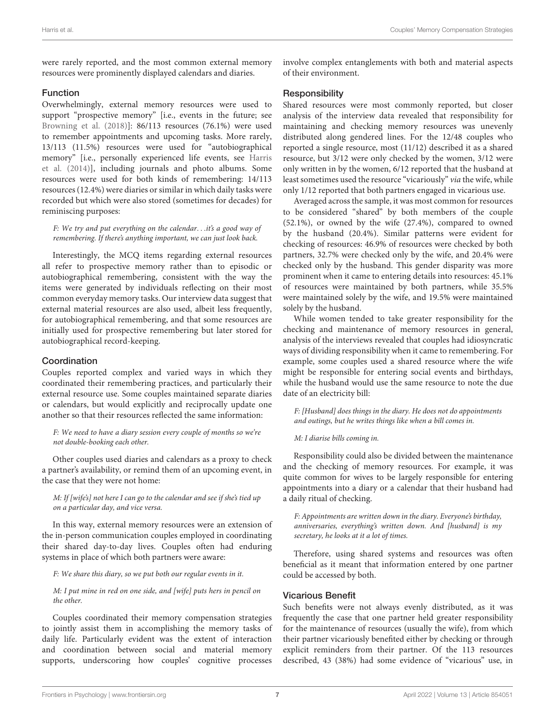were rarely reported, and the most common external memory resources were prominently displayed calendars and diaries.

#### Function

Overwhelmingly, external memory resources were used to support "prospective memory" [i.e., events in the future; see [Browning et al.](#page-9-6) [\(2018\)](#page-9-6)]: 86/113 resources (76.1%) were used to remember appointments and upcoming tasks. More rarely, 13/113 (11.5%) resources were used for "autobiographical memory" [i.e., personally experienced life events, see [Harris](#page-10-2) [et al.](#page-10-2) [\(2014\)](#page-10-2)], including journals and photo albums. Some resources were used for both kinds of remembering: 14/113 resources (12.4%) were diaries or similar in which daily tasks were recorded but which were also stored (sometimes for decades) for reminiscing purposes:

F: We try and put everything on the calendar. . .it's a good way of remembering. If there's anything important, we can just look back.

Interestingly, the MCQ items regarding external resources all refer to prospective memory rather than to episodic or autobiographical remembering, consistent with the way the items were generated by individuals reflecting on their most common everyday memory tasks. Our interview data suggest that external material resources are also used, albeit less frequently, for autobiographical remembering, and that some resources are initially used for prospective remembering but later stored for autobiographical record-keeping.

#### Coordination

Couples reported complex and varied ways in which they coordinated their remembering practices, and particularly their external resource use. Some couples maintained separate diaries or calendars, but would explicitly and reciprocally update one another so that their resources reflected the same information:

F: We need to have a diary session every couple of months so we're not double-booking each other.

Other couples used diaries and calendars as a proxy to check a partner's availability, or remind them of an upcoming event, in the case that they were not home:

M: If [wife's] not here I can go to the calendar and see if she's tied up on a particular day, and vice versa.

In this way, external memory resources were an extension of the in-person communication couples employed in coordinating their shared day-to-day lives. Couples often had enduring systems in place of which both partners were aware:

F: We share this diary, so we put both our regular events in it.

M: I put mine in red on one side, and [wife] puts hers in pencil on the other.

Couples coordinated their memory compensation strategies to jointly assist them in accomplishing the memory tasks of daily life. Particularly evident was the extent of interaction and coordination between social and material memory supports, underscoring how couples' cognitive processes involve complex entanglements with both and material aspects of their environment.

#### **Responsibility**

Shared resources were most commonly reported, but closer analysis of the interview data revealed that responsibility for maintaining and checking memory resources was unevenly distributed along gendered lines. For the 12/48 couples who reported a single resource, most (11/12) described it as a shared resource, but 3/12 were only checked by the women, 3/12 were only written in by the women, 6/12 reported that the husband at least sometimes used the resource "vicariously" via the wife, while only 1/12 reported that both partners engaged in vicarious use.

Averaged across the sample, it was most common for resources to be considered "shared" by both members of the couple (52.1%), or owned by the wife (27.4%), compared to owned by the husband (20.4%). Similar patterns were evident for checking of resources: 46.9% of resources were checked by both partners, 32.7% were checked only by the wife, and 20.4% were checked only by the husband. This gender disparity was more prominent when it came to entering details into resources: 45.1% of resources were maintained by both partners, while 35.5% were maintained solely by the wife, and 19.5% were maintained solely by the husband.

While women tended to take greater responsibility for the checking and maintenance of memory resources in general, analysis of the interviews revealed that couples had idiosyncratic ways of dividing responsibility when it came to remembering. For example, some couples used a shared resource where the wife might be responsible for entering social events and birthdays, while the husband would use the same resource to note the due date of an electricity bill:

F: [Husband] does things in the diary. He does not do appointments and outings, but he writes things like when a bill comes in.

#### M: I diarise bills coming in.

Responsibility could also be divided between the maintenance and the checking of memory resources. For example, it was quite common for wives to be largely responsible for entering appointments into a diary or a calendar that their husband had a daily ritual of checking.

F: Appointments are written down in the diary. Everyone's birthday, anniversaries, everything's written down. And [husband] is my secretary, he looks at it a lot of times.

Therefore, using shared systems and resources was often beneficial as it meant that information entered by one partner could be accessed by both.

#### Vicarious Benefit

Such benefits were not always evenly distributed, as it was frequently the case that one partner held greater responsibility for the maintenance of resources (usually the wife), from which their partner vicariously benefited either by checking or through explicit reminders from their partner. Of the 113 resources described, 43 (38%) had some evidence of "vicarious" use, in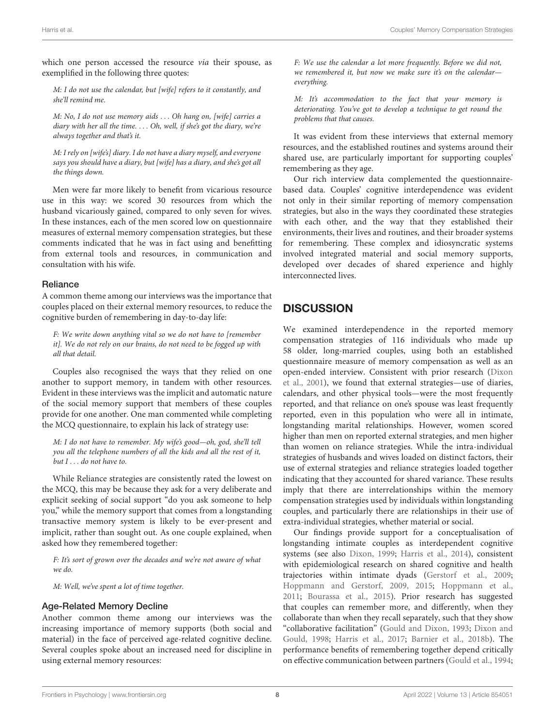which one person accessed the resource via their spouse, as exemplified in the following three quotes:

M: I do not use the calendar, but [wife] refers to it constantly, and she'll remind me.

M: No, I do not use memory aids . . . Oh hang on, [wife] carries a diary with her all the time. . . . Oh, well, if she's got the diary, we're always together and that's it.

M: I rely on [wife's] diary. I do not have a diary myself, and everyone says you should have a diary, but [wife] has a diary, and she's got all the things down.

Men were far more likely to benefit from vicarious resource use in this way: we scored 30 resources from which the husband vicariously gained, compared to only seven for wives. In these instances, each of the men scored low on questionnaire measures of external memory compensation strategies, but these comments indicated that he was in fact using and benefitting from external tools and resources, in communication and consultation with his wife.

#### Reliance

A common theme among our interviews was the importance that couples placed on their external memory resources, to reduce the cognitive burden of remembering in day-to-day life:

F: We write down anything vital so we do not have to [remember it]. We do not rely on our brains, do not need to be fogged up with all that detail.

Couples also recognised the ways that they relied on one another to support memory, in tandem with other resources. Evident in these interviews was the implicit and automatic nature of the social memory support that members of these couples provide for one another. One man commented while completing the MCQ questionnaire, to explain his lack of strategy use:

M: I do not have to remember. My wife's good—oh, god, she'll tell you all the telephone numbers of all the kids and all the rest of it, but I . . . do not have to.

While Reliance strategies are consistently rated the lowest on the MCQ, this may be because they ask for a very deliberate and explicit seeking of social support "do you ask someone to help you," while the memory support that comes from a longstanding transactive memory system is likely to be ever-present and implicit, rather than sought out. As one couple explained, when asked how they remembered together:

F: It's sort of grown over the decades and we're not aware of what we do.

M: Well, we've spent a lot of time together.

#### Age-Related Memory Decline

Another common theme among our interviews was the increasing importance of memory supports (both social and material) in the face of perceived age-related cognitive decline. Several couples spoke about an increased need for discipline in using external memory resources:

F: We use the calendar a lot more frequently. Before we did not, we remembered it, but now we make sure it's on the calendareverything.

M: It's accommodation to the fact that your memory is deteriorating. You've got to develop a technique to get round the problems that that causes.

It was evident from these interviews that external memory resources, and the established routines and systems around their shared use, are particularly important for supporting couples' remembering as they age.

Our rich interview data complemented the questionnairebased data. Couples' cognitive interdependence was evident not only in their similar reporting of memory compensation strategies, but also in the ways they coordinated these strategies with each other, and the way that they established their environments, their lives and routines, and their broader systems for remembering. These complex and idiosyncratic systems involved integrated material and social memory supports, developed over decades of shared experience and highly interconnected lives.

# **DISCUSSION**

We examined interdependence in the reported memory compensation strategies of 116 individuals who made up 58 older, long-married couples, using both an established questionnaire measure of memory compensation as well as an open-ended interview. Consistent with prior research [\(Dixon](#page-10-16) [et al.,](#page-10-16) [2001\)](#page-10-16), we found that external strategies—use of diaries, calendars, and other physical tools—were the most frequently reported, and that reliance on one's spouse was least frequently reported, even in this population who were all in intimate, longstanding marital relationships. However, women scored higher than men on reported external strategies, and men higher than women on reliance strategies. While the intra-individual strategies of husbands and wives loaded on distinct factors, their use of external strategies and reliance strategies loaded together indicating that they accounted for shared variance. These results imply that there are interrelationships within the memory compensation strategies used by individuals within longstanding couples, and particularly there are relationships in their use of extra-individual strategies, whether material or social.

Our findings provide support for a conceptualisation of longstanding intimate couples as interdependent cognitive systems (see also [Dixon,](#page-10-0) [1999;](#page-10-0) [Harris et al.,](#page-10-2) [2014\)](#page-10-2), consistent with epidemiological research on shared cognitive and health trajectories within intimate dyads [\(Gerstorf et al.,](#page-10-6) [2009;](#page-10-6) [Hoppmann and Gerstorf,](#page-10-37) [2009,](#page-10-37) [2015;](#page-10-4) [Hoppmann et al.,](#page-10-38) [2011;](#page-10-38) [Bourassa et al.,](#page-9-8) [2015\)](#page-9-8). Prior research has suggested that couples can remember more, and differently, when they collaborate than when they recall separately, such that they show "collaborative facilitation" [\(Gould and Dixon,](#page-10-23) [1993;](#page-10-23) [Dixon and](#page-10-24) [Gould,](#page-10-24) [1998;](#page-10-24) [Harris et al.,](#page-10-9) [2017;](#page-10-9) [Barnier et al.,](#page-9-4) [2018b\)](#page-9-4). The performance benefits of remembering together depend critically on effective communication between partners [\(Gould et al.,](#page-10-29) [1994;](#page-10-29)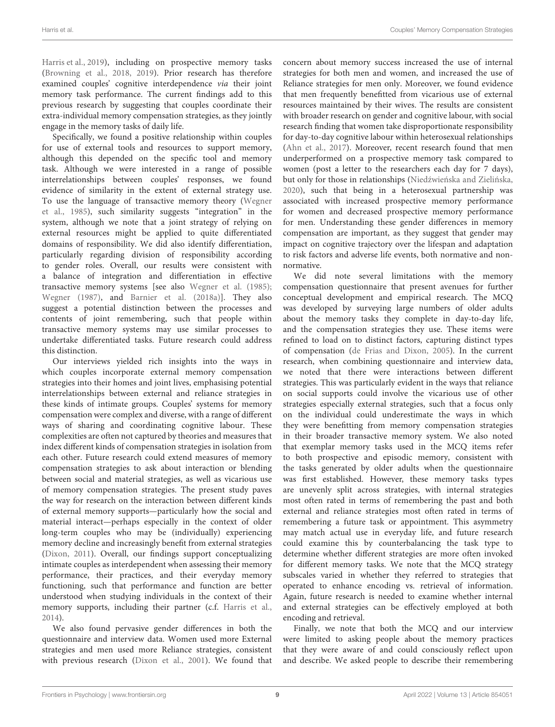[Harris et al.,](#page-10-31) [2019\)](#page-10-31), including on prospective memory tasks [\(Browning et al.,](#page-9-6) [2018,](#page-9-6) [2019\)](#page-9-9). Prior research has therefore examined couples' cognitive interdependence via their joint memory task performance. The current findings add to this previous research by suggesting that couples coordinate their extra-individual memory compensation strategies, as they jointly engage in the memory tasks of daily life.

Specifically, we found a positive relationship within couples for use of external tools and resources to support memory, although this depended on the specific tool and memory task. Although we were interested in a range of possible interrelationships between couples' responses, we found evidence of similarity in the extent of external strategy use. To use the language of transactive memory theory [\(Wegner](#page-11-0) [et al.,](#page-11-0) [1985\)](#page-11-0), such similarity suggests "integration" in the system, although we note that a joint strategy of relying on external resources might be applied to quite differentiated domains of responsibility. We did also identify differentiation, particularly regarding division of responsibility according to gender roles. Overall, our results were consistent with a balance of integration and differentiation in effective transactive memory systems [see also [Wegner et al.](#page-11-0) [\(1985\)](#page-11-0); [Wegner](#page-10-22) [\(1987\)](#page-10-22), and [Barnier et al.](#page-9-3) [\(2018a\)](#page-9-3)]. They also suggest a potential distinction between the processes and contents of joint remembering, such that people within transactive memory systems may use similar processes to undertake differentiated tasks. Future research could address this distinction.

Our interviews yielded rich insights into the ways in which couples incorporate external memory compensation strategies into their homes and joint lives, emphasising potential interrelationships between external and reliance strategies in these kinds of intimate groups. Couples' systems for memory compensation were complex and diverse, with a range of different ways of sharing and coordinating cognitive labour. These complexities are often not captured by theories and measures that index different kinds of compensation strategies in isolation from each other. Future research could extend measures of memory compensation strategies to ask about interaction or blending between social and material strategies, as well as vicarious use of memory compensation strategies. The present study paves the way for research on the interaction between different kinds of external memory supports—particularly how the social and material interact—perhaps especially in the context of older long-term couples who may be (individually) experiencing memory decline and increasingly benefit from external strategies [\(Dixon,](#page-10-10) [2011\)](#page-10-10). Overall, our findings support conceptualizing intimate couples as interdependent when assessing their memory performance, their practices, and their everyday memory functioning, such that performance and function are better understood when studying individuals in the context of their memory supports, including their partner (c.f. [Harris et al.,](#page-10-2) [2014\)](#page-10-2).

We also found pervasive gender differences in both the questionnaire and interview data. Women used more External strategies and men used more Reliance strategies, consistent with previous research [\(Dixon et al.,](#page-10-16) [2001\)](#page-10-16). We found that concern about memory success increased the use of internal strategies for both men and women, and increased the use of Reliance strategies for men only. Moreover, we found evidence that men frequently benefitted from vicarious use of external resources maintained by their wives. The results are consistent with broader research on gender and cognitive labour, with social research finding that women take disproportionate responsibility for day-to-day cognitive labour within heterosexual relationships [\(Ahn et al.,](#page-9-10) [2017\)](#page-9-10). Moreover, recent research found that men underperformed on a prospective memory task compared to women (post a letter to the researchers each day for 7 days), but only for those in relationships (Niedźwieńska and Zielińska, [2020\)](#page-10-39), such that being in a heterosexual partnership was associated with increased prospective memory performance for women and decreased prospective memory performance for men. Understanding these gender differences in memory compensation are important, as they suggest that gender may impact on cognitive trajectory over the lifespan and adaptation to risk factors and adverse life events, both normative and nonnormative.

We did note several limitations with the memory compensation questionnaire that present avenues for further conceptual development and empirical research. The MCQ was developed by surveying large numbers of older adults about the memory tasks they complete in day-to-day life, and the compensation strategies they use. These items were refined to load on to distinct factors, capturing distinct types of compensation [\(de Frias and Dixon,](#page-9-1) [2005\)](#page-9-1). In the current research, when combining questionnaire and interview data, we noted that there were interactions between different strategies. This was particularly evident in the ways that reliance on social supports could involve the vicarious use of other strategies especially external strategies, such that a focus only on the individual could underestimate the ways in which they were benefitting from memory compensation strategies in their broader transactive memory system. We also noted that exemplar memory tasks used in the MCQ items refer to both prospective and episodic memory, consistent with the tasks generated by older adults when the questionnaire was first established. However, these memory tasks types are unevenly split across strategies, with internal strategies most often rated in terms of remembering the past and both external and reliance strategies most often rated in terms of remembering a future task or appointment. This asymmetry may match actual use in everyday life, and future research could examine this by counterbalancing the task type to determine whether different strategies are more often invoked for different memory tasks. We note that the MCQ strategy subscales varied in whether they referred to strategies that operated to enhance encoding vs. retrieval of information. Again, future research is needed to examine whether internal and external strategies can be effectively employed at both encoding and retrieval.

Finally, we note that both the MCQ and our interview were limited to asking people about the memory practices that they were aware of and could consciously reflect upon and describe. We asked people to describe their remembering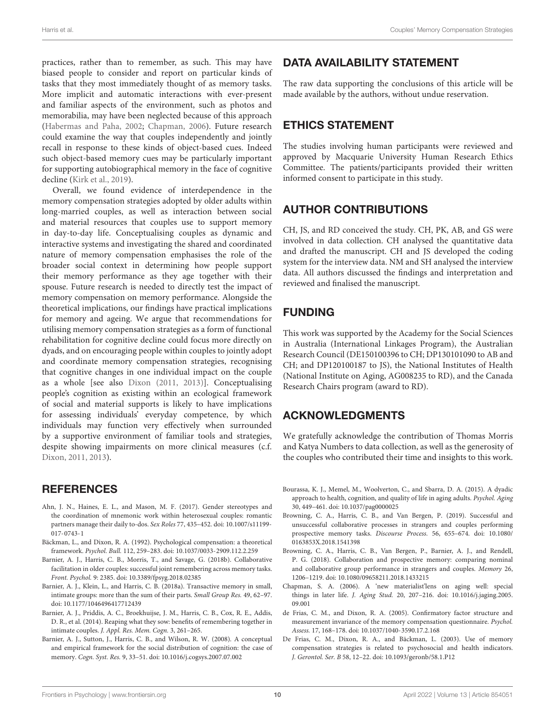practices, rather than to remember, as such. This may have biased people to consider and report on particular kinds of tasks that they most immediately thought of as memory tasks. More implicit and automatic interactions with ever-present and familiar aspects of the environment, such as photos and memorabilia, may have been neglected because of this approach [\(Habermas and Paha,](#page-10-40) [2002;](#page-10-40) [Chapman,](#page-9-11) [2006\)](#page-9-11). Future research could examine the way that couples independently and jointly recall in response to these kinds of object-based cues. Indeed such object-based memory cues may be particularly important for supporting autobiographical memory in the face of cognitive decline [\(Kirk et al.,](#page-10-41) [2019\)](#page-10-41).

Overall, we found evidence of interdependence in the memory compensation strategies adopted by older adults within long-married couples, as well as interaction between social and material resources that couples use to support memory in day-to-day life. Conceptualising couples as dynamic and interactive systems and investigating the shared and coordinated nature of memory compensation emphasises the role of the broader social context in determining how people support their memory performance as they age together with their spouse. Future research is needed to directly test the impact of memory compensation on memory performance. Alongside the theoretical implications, our findings have practical implications for memory and ageing. We argue that recommendations for utilising memory compensation strategies as a form of functional rehabilitation for cognitive decline could focus more directly on dyads, and on encouraging people within couples to jointly adopt and coordinate memory compensation strategies, recognising that cognitive changes in one individual impact on the couple as a whole [see also [Dixon](#page-10-10) [\(2011,](#page-10-10) [2013\)](#page-10-33)]. Conceptualising people's cognition as existing within an ecological framework of social and material supports is likely to have implications for assessing individuals' everyday competence, by which individuals may function very effectively when surrounded by a supportive environment of familiar tools and strategies, despite showing impairments on more clinical measures (c.f. [Dixon,](#page-10-10) [2011,](#page-10-10) [2013\)](#page-10-33).

### **REFERENCES**

- <span id="page-9-10"></span>Ahn, J. N., Haines, E. L., and Mason, M. F. (2017). Gender stereotypes and the coordination of mnemonic work within heterosexual couples: romantic partners manage their daily to-dos. Sex Roles 77, 435–452. [doi: 10.1007/s11199-](https://doi.org/10.1007/s11199-017-0743-1) [017-0743-1](https://doi.org/10.1007/s11199-017-0743-1)
- <span id="page-9-0"></span>Bäckman, L., and Dixon, R. A. (1992). Psychological compensation: a theoretical framework. Psychol. Bull. 112, 259–283. [doi: 10.1037/0033-2909.112.2.259](https://doi.org/10.1037/0033-2909.112.2.259)
- <span id="page-9-4"></span>Barnier, A. J., Harris, C. B., Morris, T., and Savage, G. (2018b). Collaborative facilitation in older couples: successful joint remembering across memory tasks. Front. Psychol. 9: 2385. [doi: 10.3389/fpsyg.2018.02385](https://doi.org/10.3389/fpsyg.2018.02385)
- <span id="page-9-3"></span>Barnier, A. J., Klein, L., and Harris, C. B. (2018a). Transactive memory in small, intimate groups: more than the sum of their parts. Small Group Res. 49, 62–97. [doi: 10.1177/1046496417712439](https://doi.org/10.1177/1046496417712439)
- <span id="page-9-5"></span>Barnier, A. J., Priddis, A. C., Broekhuijse, J. M., Harris, C. B., Cox, R. E., Addis, D. R., et al. (2014). Reaping what they sow: benefits of remembering together in intimate couples. J. Appl. Res. Mem. Cogn. 3, 261–265.
- <span id="page-9-7"></span>Barnier, A. J., Sutton, J., Harris, C. B., and Wilson, R. W. (2008). A conceptual and empirical framework for the social distribution of cognition: the case of memory. Cogn. Syst. Res. 9, 33–51. [doi: 10.1016/j.cogsys.2007.07.002](https://doi.org/10.1016/j.cogsys.2007.07.002)

### DATA AVAILABILITY STATEMENT

The raw data supporting the conclusions of this article will be made available by the authors, without undue reservation.

# ETHICS STATEMENT

The studies involving human participants were reviewed and approved by Macquarie University Human Research Ethics Committee. The patients/participants provided their written informed consent to participate in this study.

# AUTHOR CONTRIBUTIONS

CH, JS, and RD conceived the study. CH, PK, AB, and GS were involved in data collection. CH analysed the quantitative data and drafted the manuscript. CH and JS developed the coding system for the interview data. NM and SH analysed the interview data. All authors discussed the findings and interpretation and reviewed and finalised the manuscript.

# FUNDING

This work was supported by the Academy for the Social Sciences in Australia (International Linkages Program), the Australian Research Council (DE150100396 to CH; DP130101090 to AB and CH; and DP120100187 to JS), the National Institutes of Health (National Institute on Aging, AG008235 to RD), and the Canada Research Chairs program (award to RD).

# ACKNOWLEDGMENTS

We gratefully acknowledge the contribution of Thomas Morris and Katya Numbers to data collection, as well as the generosity of the couples who contributed their time and insights to this work.

- <span id="page-9-8"></span>Bourassa, K. J., Memel, M., Woolverton, C., and Sbarra, D. A. (2015). A dyadic approach to health, cognition, and quality of life in aging adults. Psychol. Aging 30, 449–461. [doi: 10.1037/pag0000025](https://doi.org/10.1037/pag0000025)
- <span id="page-9-9"></span>Browning, C. A., Harris, C. B., and Van Bergen, P. (2019). Successful and unsuccessful collaborative processes in strangers and couples performing prospective memory tasks. Discourse Process. 56, 655–674. [doi: 10.1080/](https://doi.org/10.1080/0163853X.2018.1541398) [0163853X.2018.1541398](https://doi.org/10.1080/0163853X.2018.1541398)
- <span id="page-9-6"></span>Browning, C. A., Harris, C. B., Van Bergen, P., Barnier, A. J., and Rendell, P. G. (2018). Collaboration and prospective memory: comparing nominal and collaborative group performance in strangers and couples. Memory 26, 1206–1219. [doi: 10.1080/09658211.2018.1433215](https://doi.org/10.1080/09658211.2018.1433215)
- <span id="page-9-11"></span>Chapman, S. A. (2006). A 'new materialist'lens on aging well: special things in later life. J. Aging Stud. 20, 207–216. [doi: 10.1016/j.jaging.2005.](https://doi.org/10.1016/j.jaging.2005.09.001) [09.001](https://doi.org/10.1016/j.jaging.2005.09.001)
- <span id="page-9-1"></span>de Frias, C. M., and Dixon, R. A. (2005). Confirmatory factor structure and measurement invariance of the memory compensation questionnaire. Psychol. Assess. 17, 168–178. [doi: 10.1037/1040-3590.17.2.168](https://doi.org/10.1037/1040-3590.17.2.168)
- <span id="page-9-2"></span>De Frias, C. M., Dixon, R. A., and Bäckman, L. (2003). Use of memory compensation strategies is related to psychosocial and health indicators. J. Gerontol. Ser. B 58, 12–22. [doi: 10.1093/geronb/58.1.P12](https://doi.org/10.1093/geronb/58.1.P12)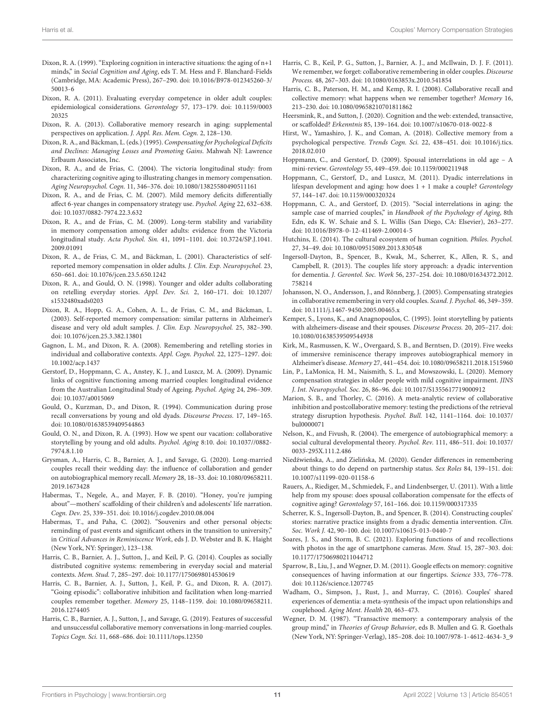- <span id="page-10-0"></span>Dixon, R. A. (1999). "Exploring cognition in interactive situations: the aging of n+1 minds," in Social Cognition and Aging, eds T. M. Hess and F. Blanchard-Fields (Cambridge, MA: Academic Press), 267–290. [doi: 10.1016/B978-012345260-3/](https://doi.org/10.1016/B978-012345260-3/50013-6) [50013-6](https://doi.org/10.1016/B978-012345260-3/50013-6)
- <span id="page-10-10"></span>Dixon, R. A. (2011). Evaluating everyday competence in older adult couples: epidemiological considerations. Gerontology 57, 173–179. [doi: 10.1159/0003](https://doi.org/10.1159/000320325) [20325](https://doi.org/10.1159/000320325)
- <span id="page-10-33"></span>Dixon, R. A. (2013). Collaborative memory research in aging: supplemental perspectives on application. J. Appl. Res. Mem. Cogn. 2, 128–130.
- <span id="page-10-15"></span>Dixon, R. A., and Bäckman, L. (eds.) (1995). Compensating for Psychological Deficits and Declines: Managing Losses and Promoting Gains. Mahwah NJ: Lawrence Erlbaum Associates, Inc.
- <span id="page-10-18"></span>Dixon, R. A., and de Frias, C. (2004). The victoria longitudinal study: from characterizing cognitive aging to illustrating changes in memory compensation. Aging Neuropsychol. Cogn. 11, 346–376. [doi: 10.1080/13825580490511161](https://doi.org/10.1080/13825580490511161)
- <span id="page-10-19"></span>Dixon, R. A., and de Frias, C. M. (2007). Mild memory deficits differentially affect 6-year changes in compensatory strategy use. Psychol. Aging 22, 632–638. [doi: 10.1037/0882-7974.22.3.632](https://doi.org/10.1037/0882-7974.22.3.632)
- <span id="page-10-20"></span>Dixon, R. A., and de Frias, C. M. (2009). Long-term stability and variability in memory compensation among older adults: evidence from the Victoria longitudinal study. Acta Psychol. Sin. 41, 1091–1101. [doi: 10.3724/SP.J.1041.](https://doi.org/10.3724/SP.J.1041.2009.01091) [2009.01091](https://doi.org/10.3724/SP.J.1041.2009.01091)
- <span id="page-10-16"></span>Dixon, R. A., de Frias, C. M., and Bäckman, L. (2001). Characteristics of selfreported memory compensation in older adults. J. Clin. Exp. Neuropsychol. 23, 650–661. [doi: 10.1076/jcen.23.5.650.1242](https://doi.org/10.1076/jcen.23.5.650.1242)
- <span id="page-10-24"></span>Dixon, R. A., and Gould, O. N. (1998). Younger and older adults collaborating on retelling everyday stories. Appl. Dev. Sci. 2, 160–171. [doi: 10.1207/](https://doi.org/10.1207/s1532480xads0203) [s1532480xads0203](https://doi.org/10.1207/s1532480xads0203)
- <span id="page-10-17"></span>Dixon, R. A., Hopp, G. A., Cohen, A. L., de Frias, C. M., and Bäckman, L. (2003). Self-reported memory compensation: similar patterns in Alzheimer's disease and very old adult samples. J. Clin. Exp. Neuropsychol. 25, 382–390. [doi: 10.1076/jcen.25.3.382.13801](https://doi.org/10.1076/jcen.25.3.382.13801)
- <span id="page-10-28"></span>Gagnon, L. M., and Dixon, R. A. (2008). Remembering and retelling stories in individual and collaborative contexts. Appl. Cogn. Psychol. 22, 1275–1297. [doi:](https://doi.org/10.1002/acp.1437) [10.1002/acp.1437](https://doi.org/10.1002/acp.1437)
- <span id="page-10-6"></span>Gerstorf, D., Hoppmann, C. A., Anstey, K. J., and Luszcz, M. A. (2009). Dynamic links of cognitive functioning among married couples: longitudinal evidence from the Australian Longitudinal Study of Ageing. Psychol. Aging 24, 296–309. [doi: 10.1037/a0015069](https://doi.org/10.1037/a0015069)
- <span id="page-10-29"></span>Gould, O., Kurzman, D., and Dixon, R. (1994). Communication during prose recall conversations by young and old dyads. Discourse Process. 17, 149–165. [doi: 10.1080/01638539409544863](https://doi.org/10.1080/01638539409544863)
- <span id="page-10-23"></span>Gould, O. N., and Dixon, R. A. (1993). How we spent our vacation: collaborative storytelling by young and old adults. Psychol. Aging 8:10. [doi: 10.1037//0882-](https://doi.org/10.1037//0882-7974.8.1.10) [7974.8.1.10](https://doi.org/10.1037//0882-7974.8.1.10)
- <span id="page-10-32"></span>Grysman, A., Harris, C. B., Barnier, A. J., and Savage, G. (2020). Long-married couples recall their wedding day: the influence of collaboration and gender on autobiographical memory recall. Memory 28, 18–33. [doi: 10.1080/09658211.](https://doi.org/10.1080/09658211.2019.1673428) [2019.1673428](https://doi.org/10.1080/09658211.2019.1673428)
- <span id="page-10-12"></span>Habermas, T., Negele, A., and Mayer, F. B. (2010). "Honey, you're jumping about"—mothers' scaffolding of their children's and adolescents' life narration. Cogn. Dev. 25, 339–351. [doi: 10.1016/j.cogdev.2010.08.004](https://doi.org/10.1016/j.cogdev.2010.08.004)
- <span id="page-10-40"></span>Habermas, T., and Paha, C. (2002). "Souvenirs and other personal objects: reminding of past events and significant others in the transition to university," in Critical Advances in Reminiscence Work, eds J. D. Webster and B. K. Haight (New York, NY: Springer), 123–138.
- <span id="page-10-2"></span>Harris, C. B., Barnier, A. J., Sutton, J., and Keil, P. G. (2014). Couples as socially distributed cognitive systems: remembering in everyday social and material contexts. Mem. Stud. 7, 285–297. [doi: 10.1177/1750698014530619](https://doi.org/10.1177/1750698014530619)
- <span id="page-10-9"></span>Harris, C. B., Barnier, A. J., Sutton, J., Keil, P. G., and Dixon, R. A. (2017). "Going episodic": collaborative inhibition and facilitation when long-married couples remember together. Memory 25, 1148–1159. [doi: 10.1080/09658211.](https://doi.org/10.1080/09658211.2016.1274405) [2016.1274405](https://doi.org/10.1080/09658211.2016.1274405)
- <span id="page-10-31"></span>Harris, C. B., Barnier, A. J., Sutton, J., and Savage, G. (2019). Features of successful and unsuccessful collaborative memory conversations in long-married couples. Topics Cogn. Sci. 11, 668–686. [doi: 10.1111/tops.12350](https://doi.org/10.1111/tops.12350)
- <span id="page-10-30"></span>Harris, C. B., Keil, P. G., Sutton, J., Barnier, A. J., and McIlwain, D. J. F. (2011). We remember, we forget: collaborative remembering in older couples. Discourse Process. 48, 267–303. [doi: 10.1080/0163853x.2010.541854](https://doi.org/10.1080/0163853x.2010.541854)
- <span id="page-10-26"></span>Harris, C. B., Paterson, H. M., and Kemp, R. I. (2008). Collaborative recall and collective memory: what happens when we remember together? Memory 16, 213–230. [doi: 10.1080/09658210701811862](https://doi.org/10.1080/09658210701811862)
- <span id="page-10-35"></span>Heersmink, R., and Sutton, J. (2020). Cognition and the web: extended, transactive, or scaffolded? Erkenntnis 85, 139–164. [doi: 10.1007/s10670-018-0022-8](https://doi.org/10.1007/s10670-018-0022-8)
- <span id="page-10-13"></span>Hirst, W., Yamashiro, J. K., and Coman, A. (2018). Collective memory from a psychological perspective. Trends Cogn. Sci. 22, 438–451. [doi: 10.1016/j.tics.](https://doi.org/10.1016/j.tics.2018.02.010) [2018.02.010](https://doi.org/10.1016/j.tics.2018.02.010)
- <span id="page-10-37"></span>Hoppmann, C., and Gerstorf, D. (2009). Spousal interrelations in old age – A mini-review. Gerontology 55, 449–459. [doi: 10.1159/000211948](https://doi.org/10.1159/000211948)
- <span id="page-10-38"></span>Hoppmann, C., Gerstorf, D., and Luszcz, M. (2011). Dyadic interrelations in lifespan development and aging: how does 1 + 1 make a couple? Gerontology 57, 144–147. [doi: 10.1159/000320324](https://doi.org/10.1159/000320324)
- <span id="page-10-4"></span>Hoppmann, C. A., and Gerstorf, D. (2015). "Social interrelations in aging: the sample case of married couples," in Handbook of the Psychology of Aging, 8th Edn, eds K. W. Schaie and S. L. Willis (San Diego, CA: Elsevier), 263–277. [doi: 10.1016/B978-0-12-411469-2.00014-5](https://doi.org/10.1016/B978-0-12-411469-2.00014-5)
- <span id="page-10-36"></span>Hutchins, E. (2014). The cultural ecosystem of human cognition. Philos. Psychol. 27, 34–49. [doi: 10.1080/09515089.2013.830548](https://doi.org/10.1080/09515089.2013.830548)
- <span id="page-10-1"></span>Ingersoll-Dayton, B., Spencer, B., Kwak, M., Scherrer, K., Allen, R. S., and Campbell, R. (2013). The couples life story approach: a dyadic intervention for dementia. J. Gerontol. Soc. Work 56, 237–254. [doi: 10.1080/01634372.2012.](https://doi.org/10.1080/01634372.2012.758214) [758214](https://doi.org/10.1080/01634372.2012.758214)
- <span id="page-10-25"></span>Johansson, N. O., Andersson, J., and Rönnberg, J. (2005). Compensating strategies in collaborative remembering in very old couples. Scand. J. Psychol. 46, 349–359. [doi: 10.1111/j.1467-9450.2005.00465.x](https://doi.org/10.1111/j.1467-9450.2005.00465.x)
- <span id="page-10-7"></span>Kemper, S., Lyons, K., and Anagnopoulos, C. (1995). Joint storytelling by patients with alzheimers-disease and their spouses. Discourse Process. 20, 205–217. [doi:](https://doi.org/10.1080/01638539509544938) [10.1080/01638539509544938](https://doi.org/10.1080/01638539509544938)
- <span id="page-10-41"></span>Kirk, M., Rasmussen, K. W., Overgaard, S. B., and Berntsen, D. (2019). Five weeks of immersive reminiscence therapy improves autobiographical memory in Alzheimer's disease. Memory 27, 441–454. [doi: 10.1080/09658211.2018.1515960](https://doi.org/10.1080/09658211.2018.1515960)
- <span id="page-10-21"></span>Lin, P., LaMonica, H. M., Naismith, S. L., and Mowszowski, L. (2020). Memory compensation strategies in older people with mild cognitive impairment. JINS J. Int. Neuropsychol. Soc. 26, 86–96. [doi: 10.1017/S1355617719000912](https://doi.org/10.1017/S1355617719000912)
- <span id="page-10-27"></span>Marion, S. B., and Thorley, C. (2016). A meta-analytic review of collaborative inhibition and postcollaborative memory: testing the predictions of the retrieval strategy disruption hypothesis. Psychol. Bull. 142, 1141–1164. [doi: 10.1037/](https://doi.org/10.1037/bul0000071) [bul0000071](https://doi.org/10.1037/bul0000071)
- <span id="page-10-11"></span>Nelson, K., and Fivush, R. (2004). The emergence of autobiographical memory: a social cultural developmental theory. Psychol. Rev. 111, 486–511. [doi: 10.1037/](https://doi.org/10.1037/0033-295X.111.2.486) [0033-295X.111.2.486](https://doi.org/10.1037/0033-295X.111.2.486)
- <span id="page-10-39"></span>Niedźwieńska, A., and Zielińska, M. (2020). Gender differences in remembering about things to do depend on partnership status. Sex Roles 84, 139–151. [doi:](https://doi.org/10.1007/s11199-020-01158-6) [10.1007/s11199-020-01158-6](https://doi.org/10.1007/s11199-020-01158-6)
- <span id="page-10-8"></span>Rauers, A., Riediger, M., Schmiedek, F., and Lindenbserger, U. (2011). With a little help from my spouse: does spousal collaboration compensate for the effects of cognitive aging? Gerontology 57, 161–166. [doi: 10.1159/000317335](https://doi.org/10.1159/000317335)
- <span id="page-10-3"></span>Scherrer, K. S., Ingersoll-Dayton, B., and Spencer, B. (2014). Constructing couples' stories: narrative practice insights from a dyadic dementia intervention. Clin. Soc. Work J. 42, 90–100. [doi: 10.1007/s10615-013-0440-7](https://doi.org/10.1007/s10615-013-0440-7)
- <span id="page-10-14"></span>Soares, J. S., and Storm, B. C. (2021). Exploring functions of and recollections with photos in the age of smartphone cameras. Mem. Stud. 15, 287–303. [doi:](https://doi.org/10.1177/17506980211044712) [10.1177/17506980211044712](https://doi.org/10.1177/17506980211044712)
- <span id="page-10-34"></span>Sparrow, B., Liu, J., and Wegner, D. M. (2011). Google effects on memory: cognitive consequences of having information at our fingertips. Science 333, 776–778. [doi: 10.1126/science.1207745](https://doi.org/10.1126/science.1207745)
- <span id="page-10-5"></span>Wadham, O., Simpson, J., Rust, J., and Murray, C. (2016). Couples' shared experiences of dementia: a meta-synthesis of the impact upon relationships and couplehood. Aging Ment. Health 20, 463–473.
- <span id="page-10-22"></span>Wegner, D. M. (1987). "Transactive memory: a contemporary analysis of the group mind," in Theories of Group Behavior, eds B. Mullen and G. R. Goethals (New York, NY: Springer-Verlag), 185–208. [doi: 10.1007/978-1-4612-4634-3\\_9](https://doi.org/10.1007/978-1-4612-4634-3_9)